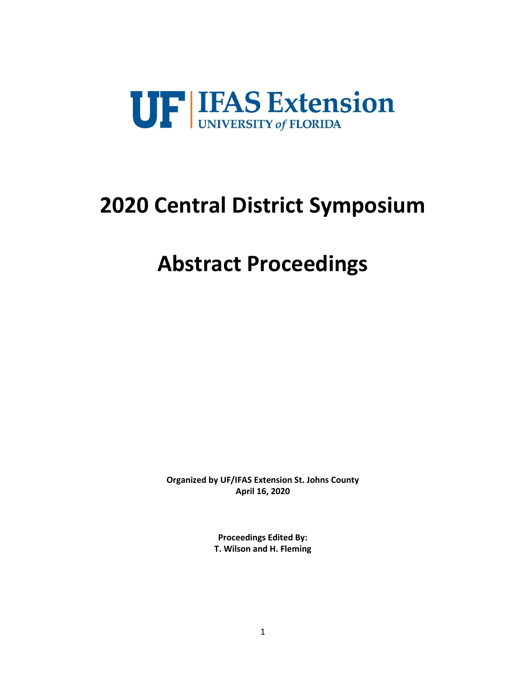

# **2020 Central District Symposium**

# **Abstract Proceedings**

**Organized by UF/IFAS Extension St. Johns County April 16, 2020**

> **Proceedings Edited By: T. Wilson and H. Fleming**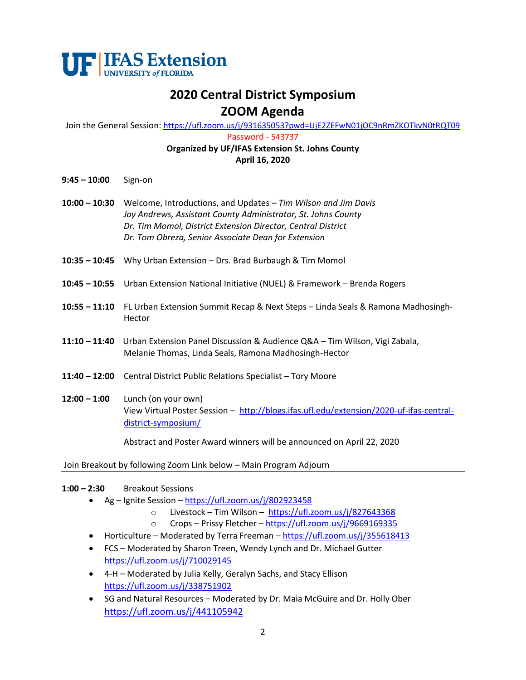

# **2020 Central District Symposium ZOOM Agenda**

Join the General Session: <https://ufl.zoom.us/j/931635053?pwd=UjE2ZEFwN01jOC9nRmZKOTkvN0tRQT09>

Password - 543737

# **Organized by UF/IFAS Extension St. Johns County April 16, 2020**

- **9:45 – 10:00** Sign-on
- **10:00 – 10:30** Welcome, Introductions, and Updates *Tim Wilson and Jim Davis Joy Andrews, Assistant County Administrator, St. Johns County Dr. Tim Momol, District Extension Director, Central District Dr. Tom Obreza, Senior Associate Dean for Extension*
- **10:35 – 10:45** Why Urban Extension Drs. Brad Burbaugh & Tim Momol
- **10:45 – 10:55** Urban Extension National Initiative (NUEL) & Framework Brenda Rogers
- **10:55 – 11:10** FL Urban Extension Summit Recap & Next Steps Linda Seals & Ramona Madhosingh-Hector
- **11:10 – 11:40** Urban Extension Panel Discussion & Audience Q&A Tim Wilson, Vigi Zabala, Melanie Thomas, Linda Seals, Ramona Madhosingh-Hector
- **11:40 – 12:00** Central District Public Relations Specialist Tory Moore
- **12:00 – 1:00** Lunch (on your own) View Virtual Poster Session – [http://blogs.ifas.ufl.edu/extension/2020-uf-ifas-central](http://blogs.ifas.ufl.edu/extension/2020-uf-ifas-central-district-symposium/)[district-symposium/](http://blogs.ifas.ufl.edu/extension/2020-uf-ifas-central-district-symposium/)

Abstract and Poster Award winners will be announced on April 22, 2020

Join Breakout by following Zoom Link below – Main Program Adjourn

#### **1:00 – 2:30** Breakout Sessions

- Ag Ignite Session <https://ufl.zoom.us/j/802923458>
	- o Livestock Tim Wilson <https://ufl.zoom.us/j/827643368>
	- o Crops Prissy Fletcher <https://ufl.zoom.us/j/9669169335>
- Horticulture Moderated by Terra Freeman <https://ufl.zoom.us/j/355618413>
- FCS Moderated by Sharon Treen, Wendy Lynch and Dr. Michael Gutter <https://ufl.zoom.us/j/710029145>
- 4-H Moderated by Julia Kelly, Geralyn Sachs, and Stacy Ellison <https://ufl.zoom.us/j/338751902>
- SG and Natural Resources Moderated by Dr. Maia McGuire and Dr. Holly Ober <https://ufl.zoom.us/j/441105942>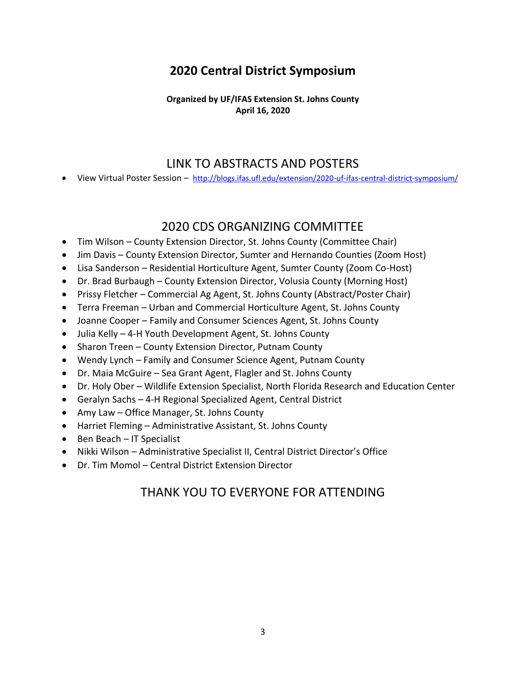# **2020 Central District Symposium**

**Organized by UF/IFAS Extension St. Johns County April 16, 2020**

# LINK TO ABSTRACTS AND POSTERS

View Virtual Poster Session - <http://blogs.ifas.ufl.edu/extension/2020-uf-ifas-central-district-symposium/>

# 2020 CDS ORGANIZING COMMITTEE

- Tim Wilson County Extension Director, St. Johns County (Committee Chair)
- Jim Davis County Extension Director, Sumter and Hernando Counties (Zoom Host)
- Lisa Sanderson Residential Horticulture Agent, Sumter County (Zoom Co-Host)
- Dr. Brad Burbaugh County Extension Director, Volusia County (Morning Host)
- Prissy Fletcher Commercial Ag Agent, St. Johns County (Abstract/Poster Chair)
- Terra Freeman Urban and Commercial Horticulture Agent, St. Johns County
- Joanne Cooper Family and Consumer Sciences Agent, St. Johns County
- Julia Kelly 4-H Youth Development Agent, St. Johns County
- Sharon Treen County Extension Director, Putnam County
- Wendy Lynch Family and Consumer Science Agent, Putnam County
- Dr. Maia McGuire Sea Grant Agent, Flagler and St. Johns County
- Dr. Holy Ober Wildlife Extension Specialist, North Florida Research and Education Center
- Geralyn Sachs 4-H Regional Specialized Agent, Central District
- Amy Law Office Manager, St. Johns County
- Harriet Fleming Administrative Assistant, St. Johns County
- Ben Beach IT Specialist
- Nikki Wilson Administrative Specialist II, Central District Director's Office
- Dr. Tim Momol Central District Extension Director

# THANK YOU TO EVERYONE FOR ATTENDING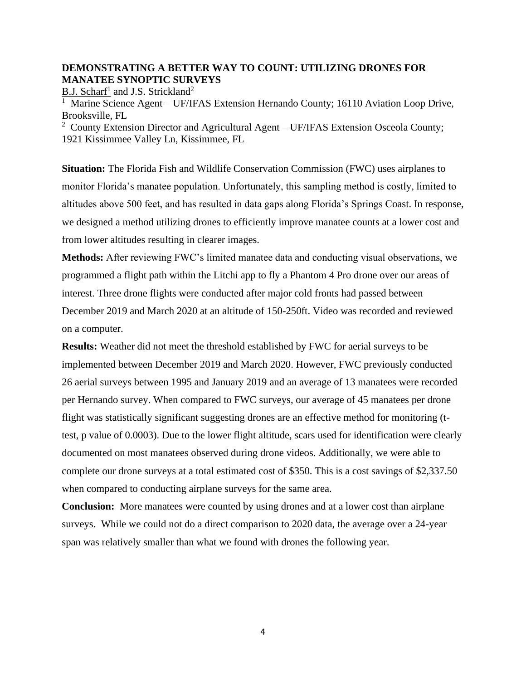# **DEMONSTRATING A BETTER WAY TO COUNT: UTILIZING DRONES FOR MANATEE SYNOPTIC SURVEYS**

B.J. Scharf<sup>1</sup> and J.S. Strickland<sup>2</sup>

<sup>1</sup> Marine Science Agent – UF/IFAS Extension Hernando County; 16110 Aviation Loop Drive, Brooksville, FL

<sup>2</sup> County Extension Director and Agricultural Agent – UF/IFAS Extension Osceola County; 1921 Kissimmee Valley Ln, Kissimmee, FL

**Situation:** The Florida Fish and Wildlife Conservation Commission (FWC) uses airplanes to monitor Florida's manatee population. Unfortunately, this sampling method is costly, limited to altitudes above 500 feet, and has resulted in data gaps along Florida's Springs Coast. In response, we designed a method utilizing drones to efficiently improve manatee counts at a lower cost and from lower altitudes resulting in clearer images.

**Methods:** After reviewing FWC's limited manatee data and conducting visual observations, we programmed a flight path within the Litchi app to fly a Phantom 4 Pro drone over our areas of interest. Three drone flights were conducted after major cold fronts had passed between December 2019 and March 2020 at an altitude of 150-250ft. Video was recorded and reviewed on a computer.

**Results:** Weather did not meet the threshold established by FWC for aerial surveys to be implemented between December 2019 and March 2020. However, FWC previously conducted 26 aerial surveys between 1995 and January 2019 and an average of 13 manatees were recorded per Hernando survey. When compared to FWC surveys, our average of 45 manatees per drone flight was statistically significant suggesting drones are an effective method for monitoring (ttest, p value of 0.0003). Due to the lower flight altitude, scars used for identification were clearly documented on most manatees observed during drone videos. Additionally, we were able to complete our drone surveys at a total estimated cost of \$350. This is a cost savings of \$2,337.50 when compared to conducting airplane surveys for the same area.

**Conclusion:** More manatees were counted by using drones and at a lower cost than airplane surveys. While we could not do a direct comparison to 2020 data, the average over a 24-year span was relatively smaller than what we found with drones the following year.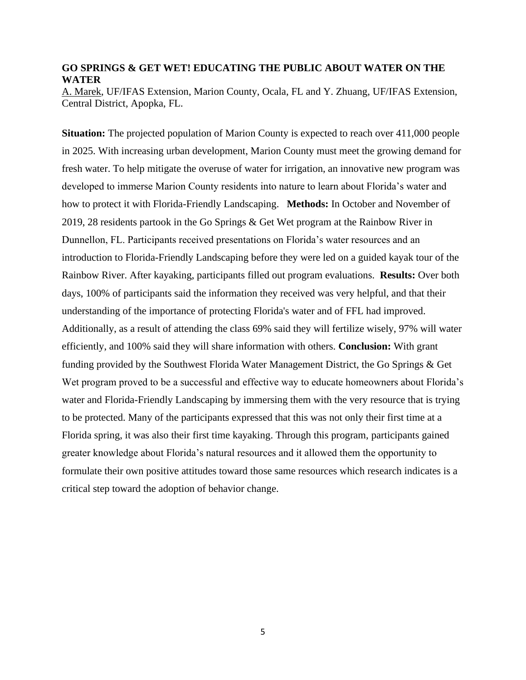#### **GO SPRINGS & GET WET! EDUCATING THE PUBLIC ABOUT WATER ON THE WATER**

A. Marek, UF/IFAS Extension, Marion County, Ocala, FL and Y. Zhuang, UF/IFAS Extension, Central District, Apopka, FL.

**Situation:** The projected population of Marion County is expected to reach over 411,000 people in 2025. With increasing urban development, Marion County must meet the growing demand for fresh water. To help mitigate the overuse of water for irrigation, an innovative new program was developed to immerse Marion County residents into nature to learn about Florida's water and how to protect it with Florida-Friendly Landscaping. **Methods:** In October and November of 2019, 28 residents partook in the Go Springs & Get Wet program at the Rainbow River in Dunnellon, FL. Participants received presentations on Florida's water resources and an introduction to Florida-Friendly Landscaping before they were led on a guided kayak tour of the Rainbow River. After kayaking, participants filled out program evaluations. **Results:** Over both days, 100% of participants said the information they received was very helpful, and that their understanding of the importance of protecting Florida's water and of FFL had improved. Additionally, as a result of attending the class 69% said they will fertilize wisely, 97% will water efficiently, and 100% said they will share information with others. **Conclusion:** With grant funding provided by the Southwest Florida Water Management District, the Go Springs & Get Wet program proved to be a successful and effective way to educate homeowners about Florida's water and Florida-Friendly Landscaping by immersing them with the very resource that is trying to be protected. Many of the participants expressed that this was not only their first time at a Florida spring, it was also their first time kayaking. Through this program, participants gained greater knowledge about Florida's natural resources and it allowed them the opportunity to formulate their own positive attitudes toward those same resources which research indicates is a critical step toward the adoption of behavior change.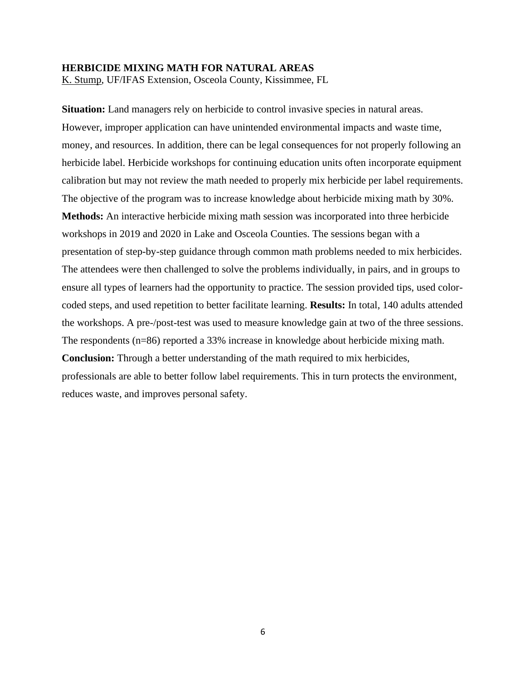#### **HERBICIDE MIXING MATH FOR NATURAL AREAS**

K. Stump, UF/IFAS Extension, Osceola County, Kissimmee, FL

**Situation:** Land managers rely on herbicide to control invasive species in natural areas. However, improper application can have unintended environmental impacts and waste time, money, and resources. In addition, there can be legal consequences for not properly following an herbicide label. Herbicide workshops for continuing education units often incorporate equipment calibration but may not review the math needed to properly mix herbicide per label requirements. The objective of the program was to increase knowledge about herbicide mixing math by 30%. **Methods:** An interactive herbicide mixing math session was incorporated into three herbicide workshops in 2019 and 2020 in Lake and Osceola Counties. The sessions began with a presentation of step-by-step guidance through common math problems needed to mix herbicides. The attendees were then challenged to solve the problems individually, in pairs, and in groups to ensure all types of learners had the opportunity to practice. The session provided tips, used colorcoded steps, and used repetition to better facilitate learning. **Results:** In total, 140 adults attended the workshops. A pre-/post-test was used to measure knowledge gain at two of the three sessions. The respondents (n=86) reported a 33% increase in knowledge about herbicide mixing math.

**Conclusion:** Through a better understanding of the math required to mix herbicides, professionals are able to better follow label requirements. This in turn protects the environment, reduces waste, and improves personal safety.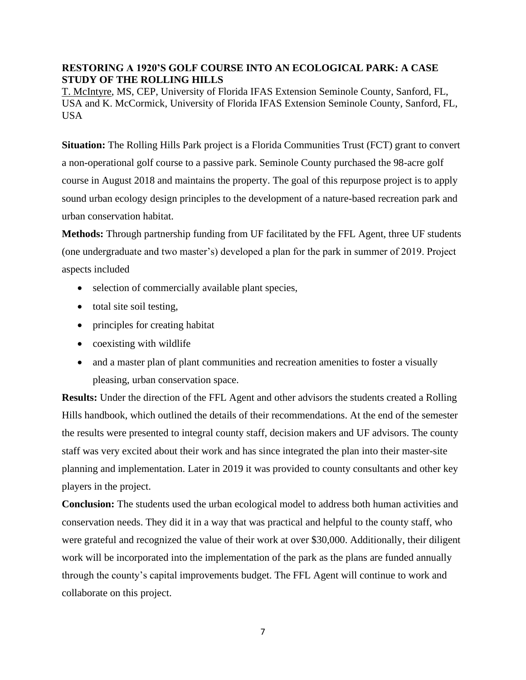# **RESTORING A 1920'S GOLF COURSE INTO AN ECOLOGICAL PARK: A CASE STUDY OF THE ROLLING HILLS**

T. McIntyre, MS, CEP, University of Florida IFAS Extension Seminole County, Sanford, FL, USA and K. McCormick, University of Florida IFAS Extension Seminole County, Sanford, FL, USA

**Situation:** The Rolling Hills Park project is a Florida Communities Trust (FCT) grant to convert a non-operational golf course to a passive park. Seminole County purchased the 98-acre golf course in August 2018 and maintains the property. The goal of this repurpose project is to apply sound urban ecology design principles to the development of a nature-based recreation park and urban conservation habitat.

**Methods:** Through partnership funding from UF facilitated by the FFL Agent, three UF students (one undergraduate and two master's) developed a plan for the park in summer of 2019. Project aspects included

- selection of commercially available plant species,
- total site soil testing,
- principles for creating habitat
- coexisting with wildlife
- and a master plan of plant communities and recreation amenities to foster a visually pleasing, urban conservation space.

**Results:** Under the direction of the FFL Agent and other advisors the students created a Rolling Hills handbook, which outlined the details of their recommendations. At the end of the semester the results were presented to integral county staff, decision makers and UF advisors. The county staff was very excited about their work and has since integrated the plan into their master-site planning and implementation. Later in 2019 it was provided to county consultants and other key players in the project.

**Conclusion:** The students used the urban ecological model to address both human activities and conservation needs. They did it in a way that was practical and helpful to the county staff, who were grateful and recognized the value of their work at over \$30,000. Additionally, their diligent work will be incorporated into the implementation of the park as the plans are funded annually through the county's capital improvements budget. The FFL Agent will continue to work and collaborate on this project.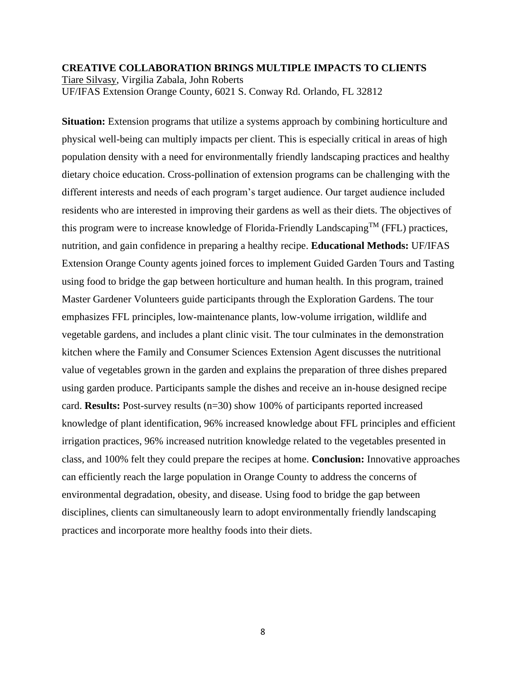# **CREATIVE COLLABORATION BRINGS MULTIPLE IMPACTS TO CLIENTS** Tiare Silvasy, Virgilia Zabala, John Roberts UF/IFAS Extension Orange County, 6021 S. Conway Rd. Orlando, FL 32812

**Situation:** Extension programs that utilize a systems approach by combining horticulture and physical well-being can multiply impacts per client. This is especially critical in areas of high population density with a need for environmentally friendly landscaping practices and healthy dietary choice education. Cross-pollination of extension programs can be challenging with the different interests and needs of each program's target audience. Our target audience included residents who are interested in improving their gardens as well as their diets. The objectives of this program were to increase knowledge of Florida-Friendly Landscaping<sup>TM</sup> (FFL) practices, nutrition, and gain confidence in preparing a healthy recipe. **Educational Methods:** UF/IFAS Extension Orange County agents joined forces to implement Guided Garden Tours and Tasting using food to bridge the gap between horticulture and human health. In this program, trained Master Gardener Volunteers guide participants through the Exploration Gardens. The tour emphasizes FFL principles, low-maintenance plants, low-volume irrigation, wildlife and vegetable gardens, and includes a plant clinic visit. The tour culminates in the demonstration kitchen where the Family and Consumer Sciences Extension Agent discusses the nutritional value of vegetables grown in the garden and explains the preparation of three dishes prepared using garden produce. Participants sample the dishes and receive an in-house designed recipe card. **Results:** Post-survey results (n=30) show 100% of participants reported increased knowledge of plant identification, 96% increased knowledge about FFL principles and efficient irrigation practices, 96% increased nutrition knowledge related to the vegetables presented in class, and 100% felt they could prepare the recipes at home. **Conclusion:** Innovative approaches can efficiently reach the large population in Orange County to address the concerns of environmental degradation, obesity, and disease. Using food to bridge the gap between disciplines, clients can simultaneously learn to adopt environmentally friendly landscaping practices and incorporate more healthy foods into their diets.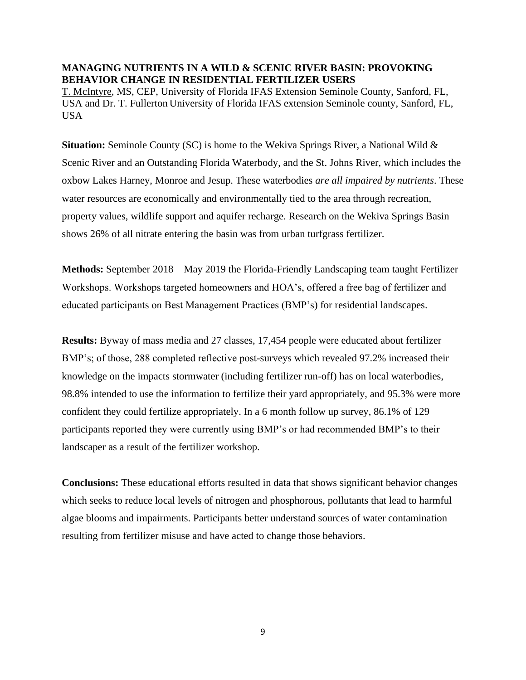# **MANAGING NUTRIENTS IN A WILD & SCENIC RIVER BASIN: PROVOKING BEHAVIOR CHANGE IN RESIDENTIAL FERTILIZER USERS**

T. McIntyre, MS, CEP, University of Florida IFAS Extension Seminole County, Sanford, FL, USA and Dr. T. Fullerton University of Florida IFAS extension Seminole county, Sanford, FL, USA

**Situation:** Seminole County (SC) is home to the Wekiva Springs River, a National Wild & Scenic River and an Outstanding Florida Waterbody, and the St. Johns River, which includes the oxbow Lakes Harney, Monroe and Jesup. These waterbodies *are all impaired by nutrients*. These water resources are economically and environmentally tied to the area through recreation, property values, wildlife support and aquifer recharge. Research on the Wekiva Springs Basin shows 26% of all nitrate entering the basin was from urban turfgrass fertilizer.

**Methods:** September 2018 – May 2019 the Florida-Friendly Landscaping team taught Fertilizer Workshops. Workshops targeted homeowners and HOA's, offered a free bag of fertilizer and educated participants on Best Management Practices (BMP's) for residential landscapes.

**Results:** Byway of mass media and 27 classes, 17,454 people were educated about fertilizer BMP's; of those, 288 completed reflective post-surveys which revealed 97.2% increased their knowledge on the impacts stormwater (including fertilizer run-off) has on local waterbodies, 98.8% intended to use the information to fertilize their yard appropriately, and 95.3% were more confident they could fertilize appropriately. In a 6 month follow up survey, 86.1% of 129 participants reported they were currently using BMP's or had recommended BMP's to their landscaper as a result of the fertilizer workshop.

**Conclusions:** These educational efforts resulted in data that shows significant behavior changes which seeks to reduce local levels of nitrogen and phosphorous, pollutants that lead to harmful algae blooms and impairments. Participants better understand sources of water contamination resulting from fertilizer misuse and have acted to change those behaviors.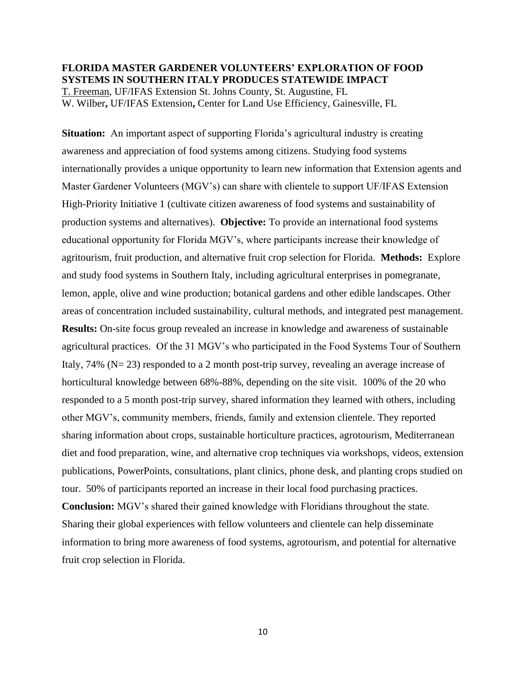# **FLORIDA MASTER GARDENER VOLUNTEERS' EXPLORATION OF FOOD SYSTEMS IN SOUTHERN ITALY PRODUCES STATEWIDE IMPACT**

T. Freeman, UF/IFAS Extension St. Johns County, St. Augustine, FL W. Wilber**,** UF/IFAS Extension**,** Center for Land Use Efficiency, Gainesville, FL

**Situation:** An important aspect of supporting Florida's agricultural industry is creating awareness and appreciation of food systems among citizens. Studying food systems internationally provides a unique opportunity to learn new information that Extension agents and Master Gardener Volunteers (MGV's) can share with clientele to support UF/IFAS Extension High-Priority Initiative 1 (cultivate citizen awareness of food systems and sustainability of production systems and alternatives). **Objective:** To provide an international food systems educational opportunity for Florida MGV's, where participants increase their knowledge of agritourism, fruit production, and alternative fruit crop selection for Florida. **Methods:** Explore and study food systems in Southern Italy, including agricultural enterprises in pomegranate, lemon, apple, olive and wine production; botanical gardens and other edible landscapes. Other areas of concentration included sustainability, cultural methods, and integrated pest management. **Results:** On-site focus group revealed an increase in knowledge and awareness of sustainable agricultural practices. Of the 31 MGV's who participated in the Food Systems Tour of Southern Italy, 74% (N= 23) responded to a 2 month post-trip survey, revealing an average increase of horticultural knowledge between 68%-88%, depending on the site visit. 100% of the 20 who responded to a 5 month post-trip survey, shared information they learned with others, including other MGV's, community members, friends, family and extension clientele. They reported sharing information about crops, sustainable horticulture practices, agrotourism, Mediterranean diet and food preparation, wine, and alternative crop techniques via workshops, videos, extension publications, PowerPoints, consultations, plant clinics, phone desk, and planting crops studied on tour. 50% of participants reported an increase in their local food purchasing practices. **Conclusion:** MGV's shared their gained knowledge with Floridians throughout the state. Sharing their global experiences with fellow volunteers and clientele can help disseminate information to bring more awareness of food systems, agrotourism, and potential for alternative fruit crop selection in Florida.

10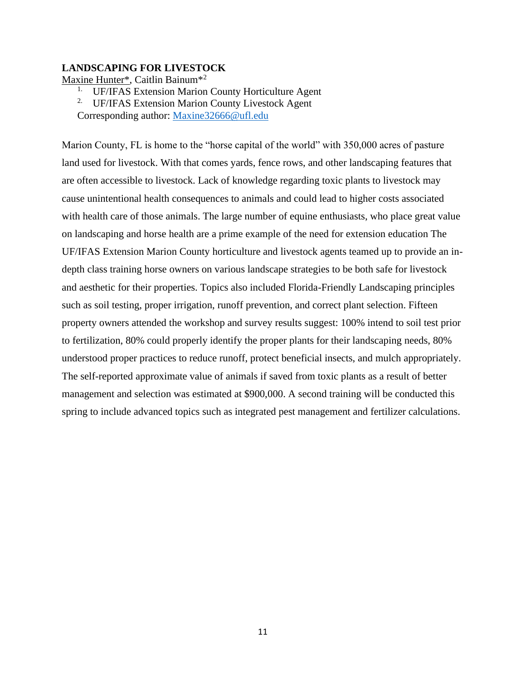## **LANDSCAPING FOR LIVESTOCK**

Maxine Hunter\*, Caitlin Bainum\*<sup>2</sup>

- <sup>1.</sup> UF/IFAS Extension Marion County Horticulture Agent
- <sup>2.</sup> UF/IFAS Extension Marion County Livestock Agent
- Corresponding author: [Maxine32666@ufl.edu](mailto:Maxine32666@ufl.edu)

Marion County, FL is home to the "horse capital of the world" with 350,000 acres of pasture land used for livestock. With that comes yards, fence rows, and other landscaping features that are often accessible to livestock. Lack of knowledge regarding toxic plants to livestock may cause unintentional health consequences to animals and could lead to higher costs associated with health care of those animals. The large number of equine enthusiasts, who place great value on landscaping and horse health are a prime example of the need for extension education The UF/IFAS Extension Marion County horticulture and livestock agents teamed up to provide an indepth class training horse owners on various landscape strategies to be both safe for livestock and aesthetic for their properties. Topics also included Florida-Friendly Landscaping principles such as soil testing, proper irrigation, runoff prevention, and correct plant selection. Fifteen property owners attended the workshop and survey results suggest: 100% intend to soil test prior to fertilization, 80% could properly identify the proper plants for their landscaping needs, 80% understood proper practices to reduce runoff, protect beneficial insects, and mulch appropriately. The self-reported approximate value of animals if saved from toxic plants as a result of better management and selection was estimated at \$900,000. A second training will be conducted this spring to include advanced topics such as integrated pest management and fertilizer calculations.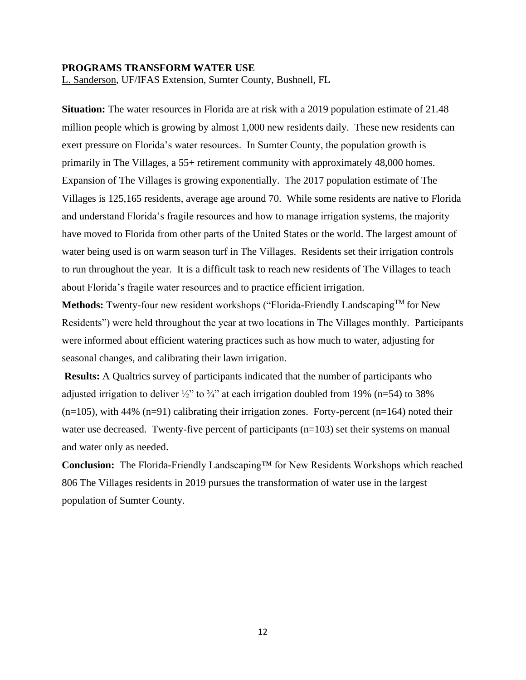#### **PROGRAMS TRANSFORM WATER USE**

L. Sanderson, UF/IFAS Extension, Sumter County, Bushnell, FL

**Situation:** The water resources in Florida are at risk with a 2019 population estimate of 21.48 million people which is growing by almost 1,000 new residents daily. These new residents can exert pressure on Florida's water resources. In Sumter County, the population growth is primarily in The Villages, a 55+ retirement community with approximately 48,000 homes. Expansion of The Villages is growing exponentially. The 2017 population estimate of The Villages is 125,165 residents, average age around 70. While some residents are native to Florida and understand Florida's fragile resources and how to manage irrigation systems, the majority have moved to Florida from other parts of the United States or the world. The largest amount of water being used is on warm season turf in The Villages. Residents set their irrigation controls to run throughout the year. It is a difficult task to reach new residents of The Villages to teach about Florida's fragile water resources and to practice efficient irrigation.

**Methods:** Twenty-four new resident workshops ("Florida-Friendly LandscapingTM for New Residents") were held throughout the year at two locations in The Villages monthly. Participants were informed about efficient watering practices such as how much to water, adjusting for seasonal changes, and calibrating their lawn irrigation.

**Results:** A Qualtrics survey of participants indicated that the number of participants who adjusted irrigation to deliver  $\frac{1}{2}$ " to  $\frac{3}{4}$ " at each irrigation doubled from 19% (n=54) to 38%  $(n=105)$ , with 44%  $(n=91)$  calibrating their irrigation zones. Forty-percent  $(n=164)$  noted their water use decreased. Twenty-five percent of participants (n=103) set their systems on manual and water only as needed.

**Conclusion:** The Florida-Friendly Landscaping™ for New Residents Workshops which reached 806 The Villages residents in 2019 pursues the transformation of water use in the largest population of Sumter County.

12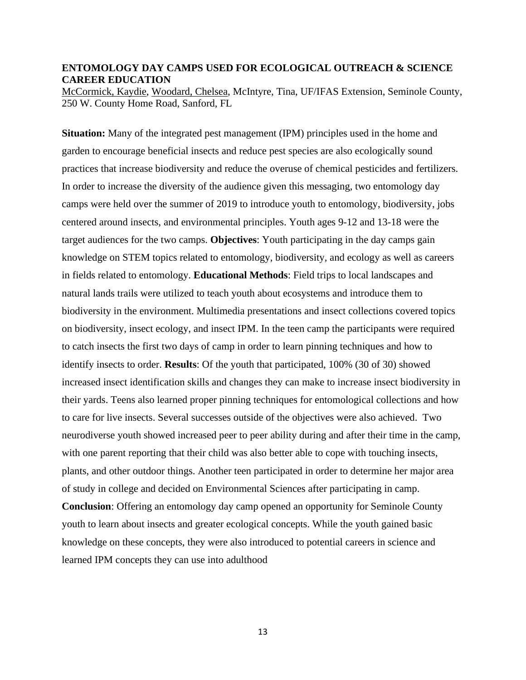### **ENTOMOLOGY DAY CAMPS USED FOR ECOLOGICAL OUTREACH & SCIENCE CAREER EDUCATION**

McCormick, Kaydie, Woodard, Chelsea, McIntyre, Tina, UF/IFAS Extension, Seminole County, 250 W. County Home Road, Sanford, FL

**Situation:** Many of the integrated pest management (IPM) principles used in the home and garden to encourage beneficial insects and reduce pest species are also ecologically sound practices that increase biodiversity and reduce the overuse of chemical pesticides and fertilizers. In order to increase the diversity of the audience given this messaging, two entomology day camps were held over the summer of 2019 to introduce youth to entomology, biodiversity, jobs centered around insects, and environmental principles. Youth ages 9-12 and 13-18 were the target audiences for the two camps. **Objectives**: Youth participating in the day camps gain knowledge on STEM topics related to entomology, biodiversity, and ecology as well as careers in fields related to entomology. **Educational Methods**: Field trips to local landscapes and natural lands trails were utilized to teach youth about ecosystems and introduce them to biodiversity in the environment. Multimedia presentations and insect collections covered topics on biodiversity, insect ecology, and insect IPM. In the teen camp the participants were required to catch insects the first two days of camp in order to learn pinning techniques and how to identify insects to order. **Results**: Of the youth that participated, 100% (30 of 30) showed increased insect identification skills and changes they can make to increase insect biodiversity in their yards. Teens also learned proper pinning techniques for entomological collections and how to care for live insects. Several successes outside of the objectives were also achieved. Two neurodiverse youth showed increased peer to peer ability during and after their time in the camp, with one parent reporting that their child was also better able to cope with touching insects, plants, and other outdoor things. Another teen participated in order to determine her major area of study in college and decided on Environmental Sciences after participating in camp. **Conclusion**: Offering an entomology day camp opened an opportunity for Seminole County youth to learn about insects and greater ecological concepts. While the youth gained basic knowledge on these concepts, they were also introduced to potential careers in science and

learned IPM concepts they can use into adulthood

13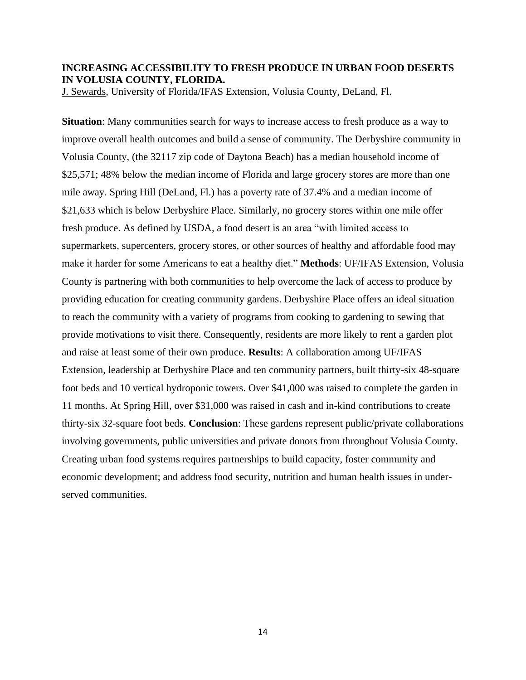# **INCREASING ACCESSIBILITY TO FRESH PRODUCE IN URBAN FOOD DESERTS IN VOLUSIA COUNTY, FLORIDA.**

J. Sewards, University of Florida/IFAS Extension, Volusia County, DeLand, Fl.

**Situation**: Many communities search for ways to increase access to fresh produce as a way to improve overall health outcomes and build a sense of community. The Derbyshire community in Volusia County, (the 32117 zip code of Daytona Beach) has a median household income of \$25,571; 48% below the median income of Florida and large grocery stores are more than one mile away. Spring Hill (DeLand, Fl.) has a poverty rate of 37.4% and a median income of \$21,633 which is below Derbyshire Place. Similarly, no grocery stores within one mile offer fresh produce. As defined by USDA, a food desert is an area "with limited access to supermarkets, supercenters, grocery stores, or other sources of healthy and affordable food may make it harder for some Americans to eat a healthy diet." **Methods**: UF/IFAS Extension, Volusia County is partnering with both communities to help overcome the lack of access to produce by providing education for creating community gardens. Derbyshire Place offers an ideal situation to reach the community with a variety of programs from cooking to gardening to sewing that provide motivations to visit there. Consequently, residents are more likely to rent a garden plot and raise at least some of their own produce. **Results**: A collaboration among UF/IFAS Extension, leadership at Derbyshire Place and ten community partners, built thirty-six 48-square foot beds and 10 vertical hydroponic towers. Over \$41,000 was raised to complete the garden in 11 months. At Spring Hill, over \$31,000 was raised in cash and in-kind contributions to create thirty-six 32-square foot beds. **Conclusion**: These gardens represent public/private collaborations involving governments, public universities and private donors from throughout Volusia County. Creating urban food systems requires partnerships to build capacity, foster community and economic development; and address food security, nutrition and human health issues in underserved communities.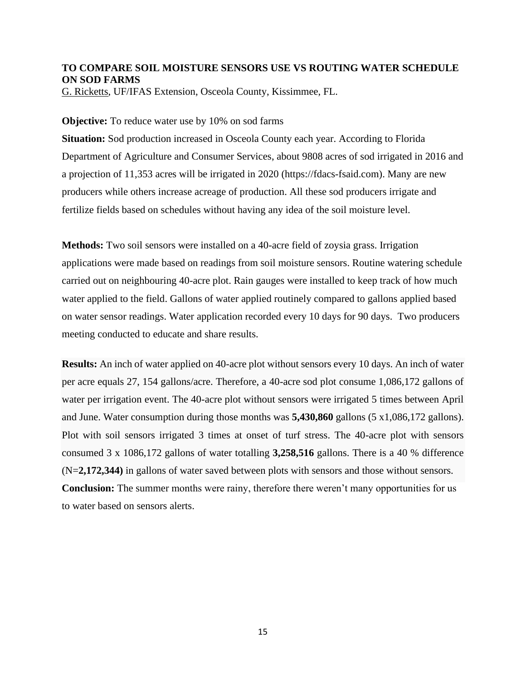# **TO COMPARE SOIL MOISTURE SENSORS USE VS ROUTING WATER SCHEDULE ON SOD FARMS**

G. Ricketts, UF/IFAS Extension, Osceola County, Kissimmee, FL.

### **Objective:** To reduce water use by 10% on sod farms

**Situation:** Sod production increased in Osceola County each year. According to Florida Department of Agriculture and Consumer Services, about 9808 acres of sod irrigated in 2016 and a projection of 11,353 acres will be irrigated in 2020 (https://fdacs-fsaid.com). Many are new producers while others increase acreage of production. All these sod producers irrigate and fertilize fields based on schedules without having any idea of the soil moisture level.

**Methods:** Two soil sensors were installed on a 40-acre field of zoysia grass. Irrigation applications were made based on readings from soil moisture sensors. Routine watering schedule carried out on neighbouring 40-acre plot. Rain gauges were installed to keep track of how much water applied to the field. Gallons of water applied routinely compared to gallons applied based on water sensor readings. Water application recorded every 10 days for 90 days. Two producers meeting conducted to educate and share results.

**Results:** An inch of water applied on 40-acre plot without sensors every 10 days. An inch of water per acre equals 27, 154 gallons/acre. Therefore, a 40-acre sod plot consume 1,086,172 gallons of water per irrigation event. The 40-acre plot without sensors were irrigated 5 times between April and June. Water consumption during those months was **5,430,860** gallons (5 x1,086,172 gallons). Plot with soil sensors irrigated 3 times at onset of turf stress. The 40-acre plot with sensors consumed 3 x 1086,172 gallons of water totalling **3,258,516** gallons. There is a 40 % difference (N=**2,172,344)** in gallons of water saved between plots with sensors and those without sensors. **Conclusion:** The summer months were rainy, therefore there weren't many opportunities for us to water based on sensors alerts.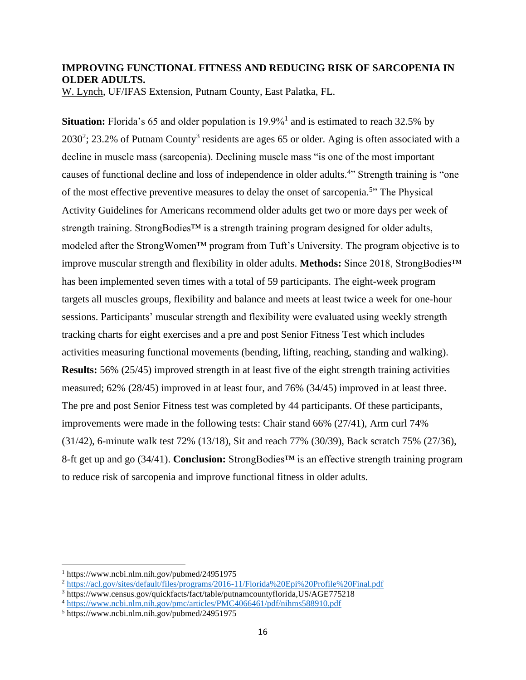# **IMPROVING FUNCTIONAL FITNESS AND REDUCING RISK OF SARCOPENIA IN OLDER ADULTS.**

W. Lynch, UF/IFAS Extension, Putnam County, East Palatka, FL.

Situation: Florida's 65 and older population is 19.9%<sup>1</sup> and is estimated to reach 32.5% by  $2030^2$ ; 23.2% of Putnam County<sup>3</sup> residents are ages 65 or older. Aging is often associated with a decline in muscle mass (sarcopenia). Declining muscle mass "is one of the most important causes of functional decline and loss of independence in older adults.<sup>4</sup>" Strength training is "one of the most effective preventive measures to delay the onset of sarcopenia.<sup>5</sup>" The Physical Activity Guidelines for Americans recommend older adults get two or more days per week of strength training. StrongBodies<sup>™</sup> is a strength training program designed for older adults, modeled after the StrongWomen™ program from Tuft's University. The program objective is to improve muscular strength and flexibility in older adults. **Methods:** Since 2018, StrongBodies™ has been implemented seven times with a total of 59 participants. The eight-week program targets all muscles groups, flexibility and balance and meets at least twice a week for one-hour sessions. Participants' muscular strength and flexibility were evaluated using weekly strength tracking charts for eight exercises and a pre and post Senior Fitness Test which includes activities measuring functional movements (bending, lifting, reaching, standing and walking). **Results:** 56% (25/45) improved strength in at least five of the eight strength training activities measured; 62% (28/45) improved in at least four, and 76% (34/45) improved in at least three. The pre and post Senior Fitness test was completed by 44 participants. Of these participants, improvements were made in the following tests: Chair stand 66% (27/41), Arm curl 74% (31/42), 6-minute walk test 72% (13/18), Sit and reach 77% (30/39), Back scratch 75% (27/36), 8-ft get up and go (34/41). **Conclusion:** StrongBodies™ is an effective strength training program to reduce risk of sarcopenia and improve functional fitness in older adults.

<sup>1</sup> <https://www.ncbi.nlm.nih.gov/pubmed/24951975>

<sup>2</sup> <https://acl.gov/sites/default/files/programs/2016-11/Florida%20Epi%20Profile%20Final.pdf>

<sup>3</sup> https://www.census.gov/quickfacts/fact/table/putnamcountyflorida,US/AGE775218

<sup>4</sup> <https://www.ncbi.nlm.nih.gov/pmc/articles/PMC4066461/pdf/nihms588910.pdf>

<sup>5</sup> <https://www.ncbi.nlm.nih.gov/pubmed/24951975>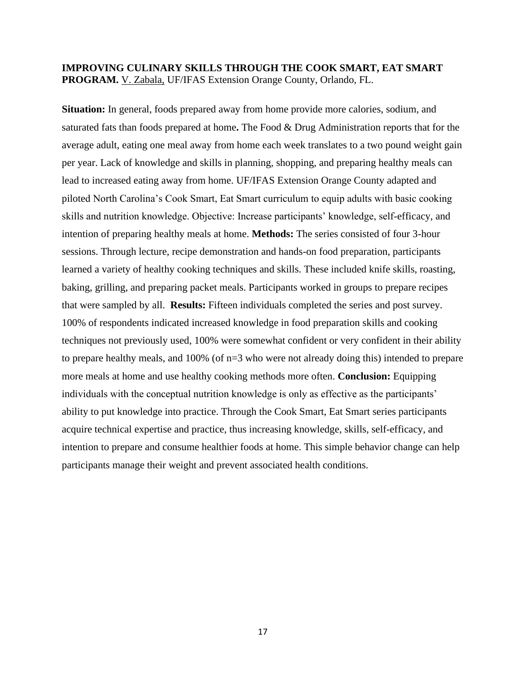# **IMPROVING CULINARY SKILLS THROUGH THE COOK SMART, EAT SMART PROGRAM.** V. Zabala, UF/IFAS Extension Orange County, Orlando, FL.

**Situation:** In general, foods prepared away from home provide more calories, sodium, and saturated fats than foods prepared at home**.** The Food & Drug Administration reports that for the average adult, eating one meal away from home each week translates to a two pound weight gain per year. Lack of knowledge and skills in planning, shopping, and preparing healthy meals can lead to increased eating away from home. UF/IFAS Extension Orange County adapted and piloted North Carolina's Cook Smart, Eat Smart curriculum to equip adults with basic cooking skills and nutrition knowledge. Objective: Increase participants' knowledge, self-efficacy, and intention of preparing healthy meals at home. **Methods:** The series consisted of four 3-hour sessions. Through lecture, recipe demonstration and hands-on food preparation, participants learned a variety of healthy cooking techniques and skills. These included knife skills, roasting, baking, grilling, and preparing packet meals. Participants worked in groups to prepare recipes that were sampled by all. **Results:** Fifteen individuals completed the series and post survey. 100% of respondents indicated increased knowledge in food preparation skills and cooking techniques not previously used, 100% were somewhat confident or very confident in their ability to prepare healthy meals, and 100% (of n=3 who were not already doing this) intended to prepare more meals at home and use healthy cooking methods more often. **Conclusion:** Equipping individuals with the conceptual nutrition knowledge is only as effective as the participants' ability to put knowledge into practice. Through the Cook Smart, Eat Smart series participants acquire technical expertise and practice, thus increasing knowledge, skills, self-efficacy, and intention to prepare and consume healthier foods at home. This simple behavior change can help participants manage their weight and prevent associated health conditions.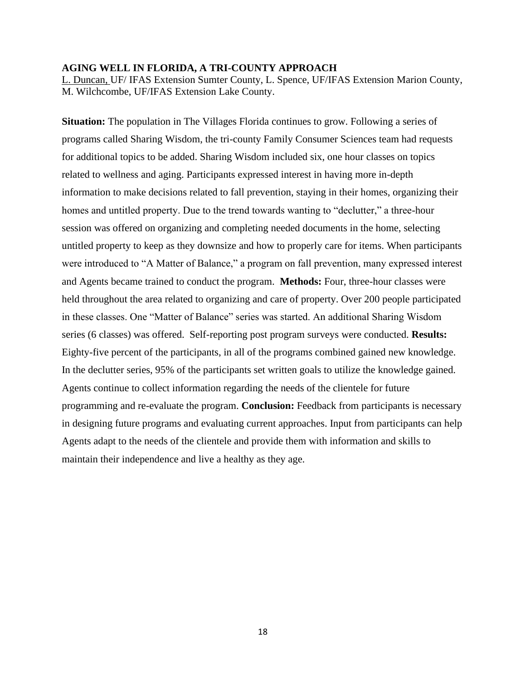#### **AGING WELL IN FLORIDA, A TRI-COUNTY APPROACH**

L. Duncan, UF/ IFAS Extension Sumter County, L. Spence, UF/IFAS Extension Marion County, M. Wilchcombe, UF/IFAS Extension Lake County.

**Situation:** The population in The Villages Florida continues to grow. Following a series of programs called Sharing Wisdom, the tri-county Family Consumer Sciences team had requests for additional topics to be added. Sharing Wisdom included six, one hour classes on topics related to wellness and aging. Participants expressed interest in having more in-depth information to make decisions related to fall prevention, staying in their homes, organizing their homes and untitled property. Due to the trend towards wanting to "declutter," a three-hour session was offered on organizing and completing needed documents in the home, selecting untitled property to keep as they downsize and how to properly care for items. When participants were introduced to "A Matter of Balance," a program on fall prevention, many expressed interest and Agents became trained to conduct the program. **Methods:** Four, three-hour classes were held throughout the area related to organizing and care of property. Over 200 people participated in these classes. One "Matter of Balance" series was started. An additional Sharing Wisdom series (6 classes) was offered. Self-reporting post program surveys were conducted. **Results:**  Eighty-five percent of the participants, in all of the programs combined gained new knowledge. In the declutter series, 95% of the participants set written goals to utilize the knowledge gained. Agents continue to collect information regarding the needs of the clientele for future programming and re-evaluate the program. **Conclusion:** Feedback from participants is necessary in designing future programs and evaluating current approaches. Input from participants can help Agents adapt to the needs of the clientele and provide them with information and skills to maintain their independence and live a healthy as they age.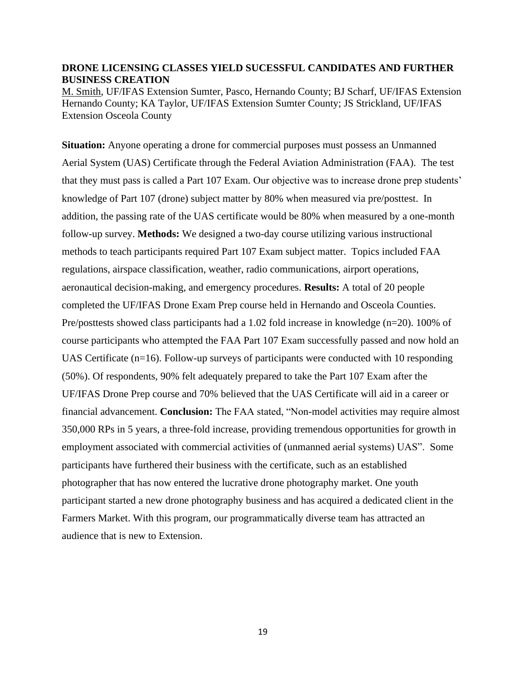### **DRONE LICENSING CLASSES YIELD SUCESSFUL CANDIDATES AND FURTHER BUSINESS CREATION**

M. Smith, UF/IFAS Extension Sumter, Pasco, Hernando County; BJ Scharf, UF/IFAS Extension Hernando County; KA Taylor, UF/IFAS Extension Sumter County; JS Strickland, UF/IFAS Extension Osceola County

**Situation:** Anyone operating a drone for commercial purposes must possess an Unmanned Aerial System (UAS) Certificate through the Federal Aviation Administration (FAA). The test that they must pass is called a Part 107 Exam. Our objective was to increase drone prep students' knowledge of Part 107 (drone) subject matter by 80% when measured via pre/posttest. In addition, the passing rate of the UAS certificate would be 80% when measured by a one-month follow-up survey. **Methods:** We designed a two-day course utilizing various instructional methods to teach participants required Part 107 Exam subject matter. Topics included FAA regulations, airspace classification, weather, radio communications, airport operations, aeronautical decision-making, and emergency procedures. **Results:** A total of 20 people completed the UF/IFAS Drone Exam Prep course held in Hernando and Osceola Counties. Pre/posttests showed class participants had a 1.02 fold increase in knowledge (n=20). 100% of course participants who attempted the FAA Part 107 Exam successfully passed and now hold an UAS Certificate (n=16). Follow-up surveys of participants were conducted with 10 responding (50%). Of respondents, 90% felt adequately prepared to take the Part 107 Exam after the UF/IFAS Drone Prep course and 70% believed that the UAS Certificate will aid in a career or financial advancement. **Conclusion:** The FAA stated, "Non-model activities may require almost 350,000 RPs in 5 years, a three-fold increase, providing tremendous opportunities for growth in employment associated with commercial activities of (unmanned aerial systems) UAS". Some participants have furthered their business with the certificate, such as an established photographer that has now entered the lucrative drone photography market. One youth participant started a new drone photography business and has acquired a dedicated client in the Farmers Market. With this program, our programmatically diverse team has attracted an audience that is new to Extension.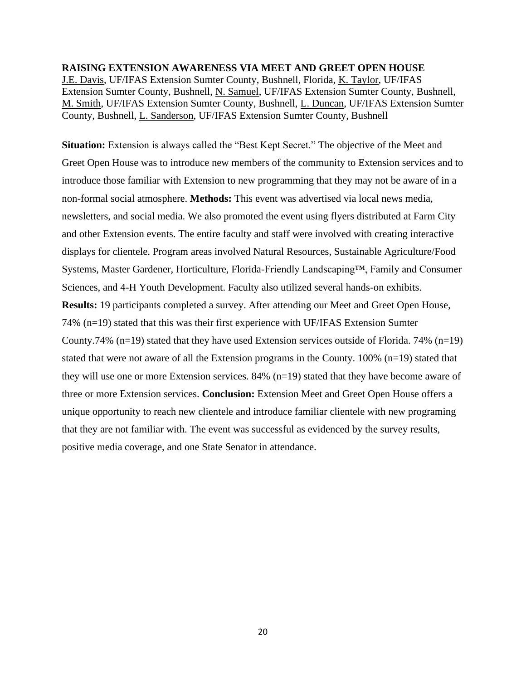**RAISING EXTENSION AWARENESS VIA MEET AND GREET OPEN HOUSE**  J.E. Davis, UF/IFAS Extension Sumter County, Bushnell, Florida, K. Taylor, UF/IFAS Extension Sumter County, Bushnell, N. Samuel, UF/IFAS Extension Sumter County, Bushnell, M. Smith, UF/IFAS Extension Sumter County, Bushnell, L. Duncan, UF/IFAS Extension Sumter County, Bushnell, L. Sanderson, UF/IFAS Extension Sumter County, Bushnell

Situation: Extension is always called the "Best Kept Secret." The objective of the Meet and Greet Open House was to introduce new members of the community to Extension services and to introduce those familiar with Extension to new programming that they may not be aware of in a non-formal social atmosphere. **Methods:** This event was advertised via local news media, newsletters, and social media. We also promoted the event using flyers distributed at Farm City and other Extension events. The entire faculty and staff were involved with creating interactive displays for clientele. Program areas involved Natural Resources, Sustainable Agriculture/Food Systems, Master Gardener, Horticulture, Florida-Friendly Landscaping™, Family and Consumer Sciences, and 4-H Youth Development. Faculty also utilized several hands-on exhibits. **Results:** 19 participants completed a survey. After attending our Meet and Greet Open House, 74% (n=19) stated that this was their first experience with UF/IFAS Extension Sumter County.74% ( $n=19$ ) stated that they have used Extension services outside of Florida. 74% ( $n=19$ ) stated that were not aware of all the Extension programs in the County. 100% (n=19) stated that they will use one or more Extension services. 84% (n=19) stated that they have become aware of three or more Extension services. **Conclusion:** Extension Meet and Greet Open House offers a unique opportunity to reach new clientele and introduce familiar clientele with new programing that they are not familiar with. The event was successful as evidenced by the survey results, positive media coverage, and one State Senator in attendance.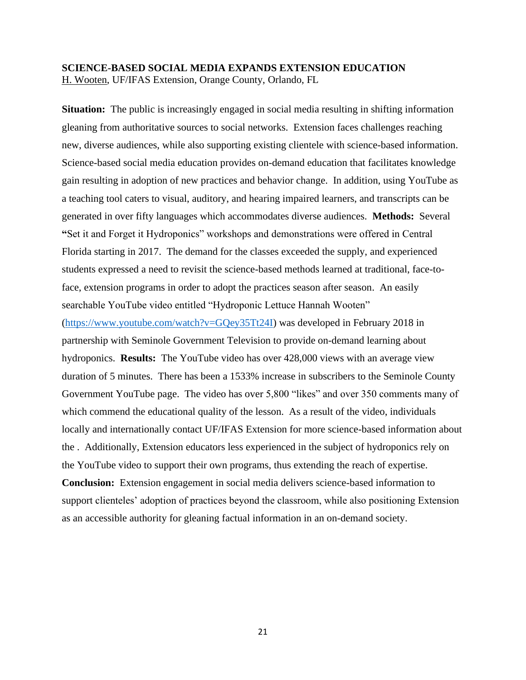# **SCIENCE-BASED SOCIAL MEDIA EXPANDS EXTENSION EDUCATION** H. Wooten, UF/IFAS Extension, Orange County, Orlando, FL

**Situation:** The public is increasingly engaged in social media resulting in shifting information gleaning from authoritative sources to social networks. Extension faces challenges reaching new, diverse audiences, while also supporting existing clientele with science-based information. Science-based social media education provides on-demand education that facilitates knowledge gain resulting in adoption of new practices and behavior change. In addition, using YouTube as a teaching tool caters to visual, auditory, and hearing impaired learners, and transcripts can be generated in over fifty languages which accommodates diverse audiences. **Methods:** Several **"**Set it and Forget it Hydroponics" workshops and demonstrations were offered in Central Florida starting in 2017. The demand for the classes exceeded the supply, and experienced students expressed a need to revisit the science-based methods learned at traditional, face-toface, extension programs in order to adopt the practices season after season. An easily searchable YouTube video entitled "Hydroponic Lettuce Hannah Wooten" [\(https://www.youtube.com/watch?v=GQey35Tt24I\)](https://www.youtube.com/watch?v=GQey35Tt24I) was developed in February 2018 in partnership with Seminole Government Television to provide on-demand learning about hydroponics. **Results:** The YouTube video has over 428,000 views with an average view duration of 5 minutes. There has been a 1533% increase in subscribers to the Seminole County Government YouTube page. The video has over 5,800 "likes" and over 350 comments many of which commend the educational quality of the lesson. As a result of the video, individuals locally and internationally contact UF/IFAS Extension for more science-based information about the . Additionally, Extension educators less experienced in the subject of hydroponics rely on the YouTube video to support their own programs, thus extending the reach of expertise. **Conclusion:** Extension engagement in social media delivers science-based information to support clienteles' adoption of practices beyond the classroom, while also positioning Extension as an accessible authority for gleaning factual information in an on-demand society.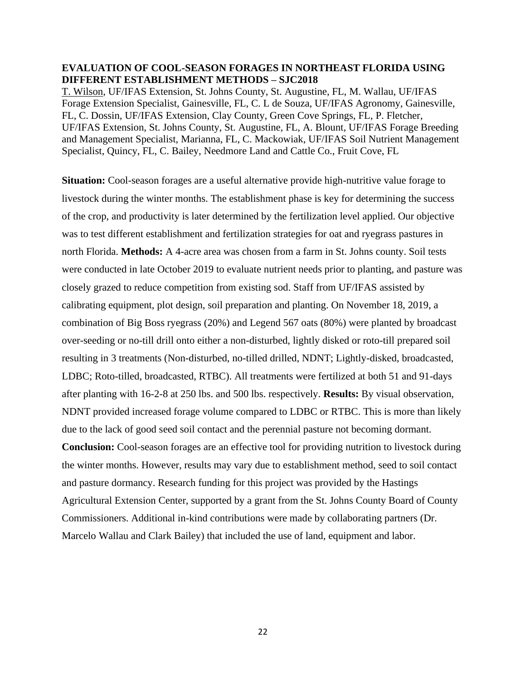## **EVALUATION OF COOL-SEASON FORAGES IN NORTHEAST FLORIDA USING DIFFERENT ESTABLISHMENT METHODS – SJC2018**

T. Wilson, UF/IFAS Extension, St. Johns County, St. Augustine, FL, M. Wallau, UF/IFAS Forage Extension Specialist, Gainesville, FL, C. L de Souza, UF/IFAS Agronomy, Gainesville, FL, C. Dossin, UF/IFAS Extension, Clay County, Green Cove Springs, FL, P. Fletcher, UF/IFAS Extension, St. Johns County, St. Augustine, FL, A. Blount, UF/IFAS Forage Breeding and Management Specialist, Marianna, FL, C. Mackowiak, UF/IFAS Soil Nutrient Management Specialist, Quincy, FL, C. Bailey, Needmore Land and Cattle Co., Fruit Cove, FL

**Situation:** Cool-season forages are a useful alternative provide high-nutritive value forage to livestock during the winter months. The establishment phase is key for determining the success of the crop, and productivity is later determined by the fertilization level applied. Our objective was to test different establishment and fertilization strategies for oat and ryegrass pastures in north Florida. **Methods:** A 4-acre area was chosen from a farm in St. Johns county. Soil tests were conducted in late October 2019 to evaluate nutrient needs prior to planting, and pasture was closely grazed to reduce competition from existing sod. Staff from UF/IFAS assisted by calibrating equipment, plot design, soil preparation and planting. On November 18, 2019, a combination of Big Boss ryegrass (20%) and Legend 567 oats (80%) were planted by broadcast over-seeding or no-till drill onto either a non-disturbed, lightly disked or roto-till prepared soil resulting in 3 treatments (Non-disturbed, no-tilled drilled, NDNT; Lightly-disked, broadcasted, LDBC; Roto-tilled, broadcasted, RTBC). All treatments were fertilized at both 51 and 91-days after planting with 16-2-8 at 250 lbs. and 500 lbs. respectively. **Results:** By visual observation, NDNT provided increased forage volume compared to LDBC or RTBC. This is more than likely due to the lack of good seed soil contact and the perennial pasture not becoming dormant. **Conclusion:** Cool-season forages are an effective tool for providing nutrition to livestock during the winter months. However, results may vary due to establishment method, seed to soil contact and pasture dormancy. Research funding for this project was provided by the Hastings Agricultural Extension Center, supported by a grant from the St. Johns County Board of County Commissioners. Additional in-kind contributions were made by collaborating partners (Dr. Marcelo Wallau and Clark Bailey) that included the use of land, equipment and labor.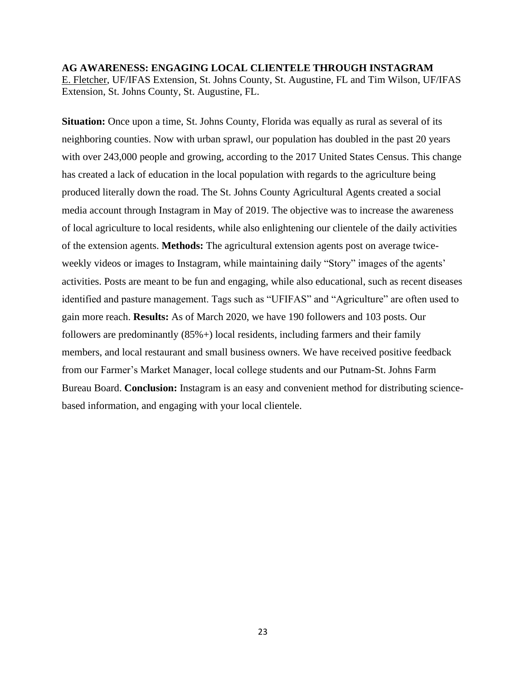# **AG AWARENESS: ENGAGING LOCAL CLIENTELE THROUGH INSTAGRAM** E. Fletcher, UF/IFAS Extension, St. Johns County, St. Augustine, FL and Tim Wilson, UF/IFAS Extension, St. Johns County, St. Augustine, FL.

**Situation:** Once upon a time, St. Johns County, Florida was equally as rural as several of its neighboring counties. Now with urban sprawl, our population has doubled in the past 20 years with over 243,000 people and growing, according to the 2017 United States Census. This change has created a lack of education in the local population with regards to the agriculture being produced literally down the road. The St. Johns County Agricultural Agents created a social media account through Instagram in May of 2019. The objective was to increase the awareness of local agriculture to local residents, while also enlightening our clientele of the daily activities of the extension agents. **Methods:** The agricultural extension agents post on average twiceweekly videos or images to Instagram, while maintaining daily "Story" images of the agents' activities. Posts are meant to be fun and engaging, while also educational, such as recent diseases identified and pasture management. Tags such as "UFIFAS" and "Agriculture" are often used to gain more reach. **Results:** As of March 2020, we have 190 followers and 103 posts. Our followers are predominantly (85%+) local residents, including farmers and their family members, and local restaurant and small business owners. We have received positive feedback from our Farmer's Market Manager, local college students and our Putnam-St. Johns Farm Bureau Board. **Conclusion:** Instagram is an easy and convenient method for distributing sciencebased information, and engaging with your local clientele.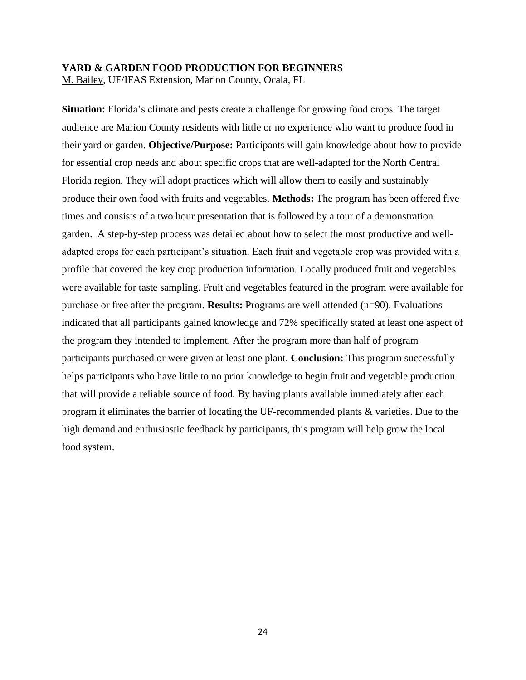#### **YARD & GARDEN FOOD PRODUCTION FOR BEGINNERS**

M. Bailey, UF/IFAS Extension, Marion County, Ocala, FL

**Situation:** Florida's climate and pests create a challenge for growing food crops. The target audience are Marion County residents with little or no experience who want to produce food in their yard or garden. **Objective/Purpose:** Participants will gain knowledge about how to provide for essential crop needs and about specific crops that are well-adapted for the North Central Florida region. They will adopt practices which will allow them to easily and sustainably produce their own food with fruits and vegetables. **Methods:** The program has been offered five times and consists of a two hour presentation that is followed by a tour of a demonstration garden. A step-by-step process was detailed about how to select the most productive and welladapted crops for each participant's situation. Each fruit and vegetable crop was provided with a profile that covered the key crop production information. Locally produced fruit and vegetables were available for taste sampling. Fruit and vegetables featured in the program were available for purchase or free after the program. **Results:** Programs are well attended (n=90). Evaluations indicated that all participants gained knowledge and 72% specifically stated at least one aspect of the program they intended to implement. After the program more than half of program participants purchased or were given at least one plant. **Conclusion:** This program successfully helps participants who have little to no prior knowledge to begin fruit and vegetable production that will provide a reliable source of food. By having plants available immediately after each program it eliminates the barrier of locating the UF-recommended plants & varieties. Due to the high demand and enthusiastic feedback by participants, this program will help grow the local food system.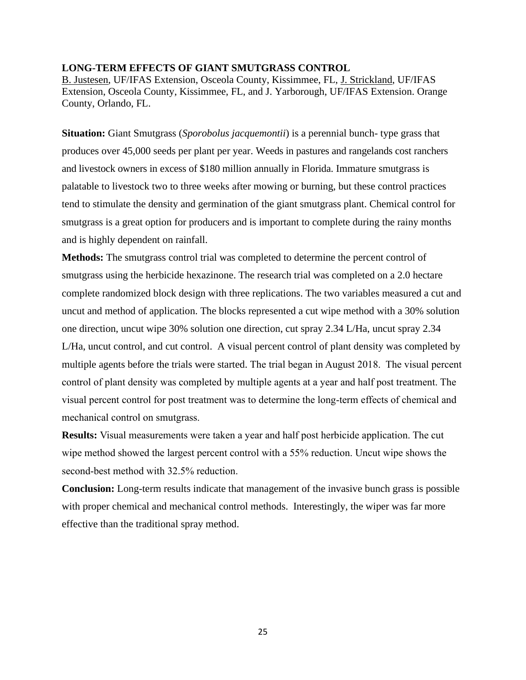#### **LONG-TERM EFFECTS OF GIANT SMUTGRASS CONTROL**

B. Justesen, UF/IFAS Extension, Osceola County, Kissimmee, FL, J. Strickland, UF/IFAS Extension, Osceola County, Kissimmee, FL, and J. Yarborough, UF/IFAS Extension. Orange County, Orlando, FL.

**Situation:** Giant Smutgrass (*Sporobolus jacquemontii*) is a perennial bunch- type grass that produces over 45,000 seeds per plant per year. Weeds in pastures and rangelands cost ranchers and livestock owners in excess of \$180 million annually in Florida. Immature smutgrass is palatable to livestock two to three weeks after mowing or burning, but these control practices tend to stimulate the density and germination of the giant smutgrass plant. Chemical control for smutgrass is a great option for producers and is important to complete during the rainy months and is highly dependent on rainfall.

**Methods:** The smutgrass control trial was completed to determine the percent control of smutgrass using the herbicide hexazinone. The research trial was completed on a 2.0 hectare complete randomized block design with three replications. The two variables measured a cut and uncut and method of application. The blocks represented a cut wipe method with a 30% solution one direction, uncut wipe 30% solution one direction, cut spray 2.34 L/Ha, uncut spray 2.34 L/Ha, uncut control, and cut control. A visual percent control of plant density was completed by multiple agents before the trials were started. The trial began in August 2018. The visual percent control of plant density was completed by multiple agents at a year and half post treatment. The visual percent control for post treatment was to determine the long-term effects of chemical and mechanical control on smutgrass.

**Results:** Visual measurements were taken a year and half post herbicide application. The cut wipe method showed the largest percent control with a 55% reduction. Uncut wipe shows the second-best method with 32.5% reduction.

**Conclusion:** Long-term results indicate that management of the invasive bunch grass is possible with proper chemical and mechanical control methods. Interestingly, the wiper was far more effective than the traditional spray method.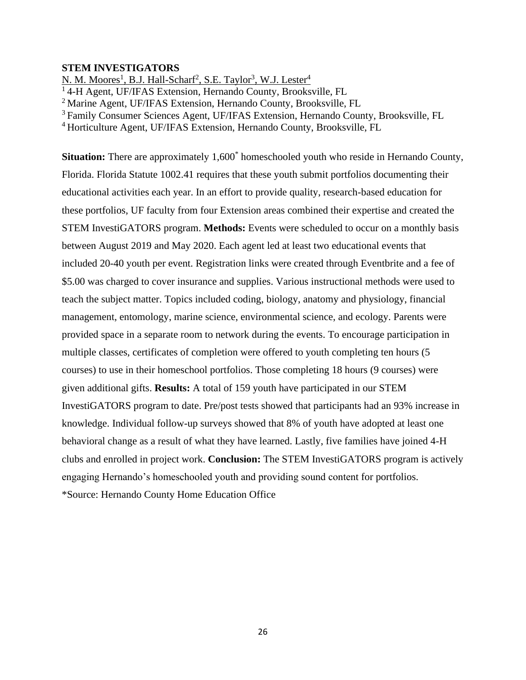### **STEM INVESTIGATORS**

N. M. Moores<sup>1</sup>, B.J. Hall-Scharf<sup>2</sup>, S.E. Taylor<sup>3</sup>, W.J. Lester<sup>4</sup>

<sup>1</sup>4-H Agent, UF/IFAS Extension, Hernando County, Brooksville, FL

<sup>2</sup>Marine Agent, UF/IFAS Extension, Hernando County, Brooksville, FL

<sup>3</sup>Family Consumer Sciences Agent, UF/IFAS Extension, Hernando County, Brooksville, FL

<sup>4</sup> Horticulture Agent, UF/IFAS Extension, Hernando County, Brooksville, FL

Situation: There are approximately 1,600<sup>\*</sup> homeschooled youth who reside in Hernando County, Florida. Florida Statute 1002.41 requires that these youth submit portfolios documenting their educational activities each year. In an effort to provide quality, research-based education for these portfolios, UF faculty from four Extension areas combined their expertise and created the STEM InvestiGATORS program. **Methods:** Events were scheduled to occur on a monthly basis between August 2019 and May 2020. Each agent led at least two educational events that included 20-40 youth per event. Registration links were created through Eventbrite and a fee of \$5.00 was charged to cover insurance and supplies. Various instructional methods were used to teach the subject matter. Topics included coding, biology, anatomy and physiology, financial management, entomology, marine science, environmental science, and ecology. Parents were provided space in a separate room to network during the events. To encourage participation in multiple classes, certificates of completion were offered to youth completing ten hours (5 courses) to use in their homeschool portfolios. Those completing 18 hours (9 courses) were given additional gifts. **Results:** A total of 159 youth have participated in our STEM InvestiGATORS program to date. Pre/post tests showed that participants had an 93% increase in knowledge. Individual follow-up surveys showed that 8% of youth have adopted at least one behavioral change as a result of what they have learned. Lastly, five families have joined 4-H clubs and enrolled in project work. **Conclusion:** The STEM InvestiGATORS program is actively engaging Hernando's homeschooled youth and providing sound content for portfolios. \*Source: Hernando County Home Education Office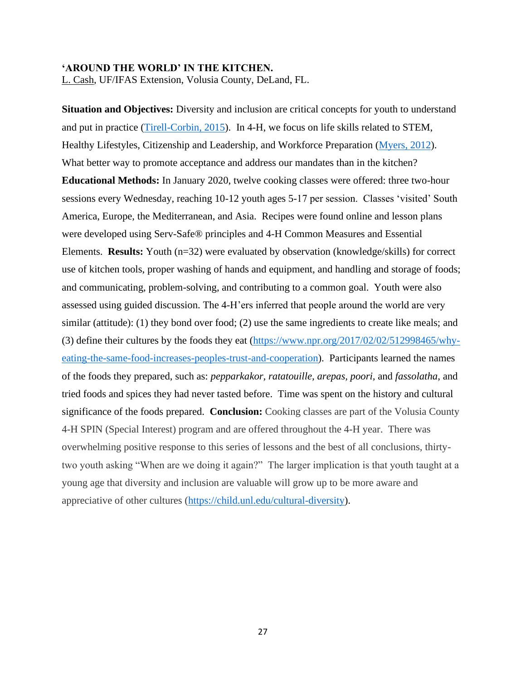#### **'AROUND THE WORLD' IN THE KITCHEN.**

L. Cash, UF/IFAS Extension, Volusia County, DeLand, FL.

**Situation and Objectives:** Diversity and inclusion are critical concepts for youth to understand and put in practice [\(Tirell-Corbin, 2015\)](https://www.pbs.org/parents/thrive/how-to-teach-children-about-cultural-awareness-and-diversity). In 4-H, we focus on life skills related to STEM, Healthy Lifestyles, Citizenship and Leadership, and Workforce Preparation [\(Myers, 2012\)](https://childdevelopmentinfo.com/child-activities/why-kids-should-learn-to-cook/#gs.z4g53y). What better way to promote acceptance and address our mandates than in the kitchen? **Educational Methods:** In January 2020, twelve cooking classes were offered: three two-hour sessions every Wednesday, reaching 10-12 youth ages 5-17 per session. Classes 'visited' South America, Europe, the Mediterranean, and Asia. Recipes were found online and lesson plans were developed using Serv-Safe® principles and 4-H Common Measures and Essential Elements. **Results:** Youth (n=32) were evaluated by observation (knowledge/skills) for correct use of kitchen tools, proper washing of hands and equipment, and handling and storage of foods; and communicating, problem-solving, and contributing to a common goal. Youth were also assessed using guided discussion. The 4-H'ers inferred that people around the world are very similar (attitude): (1) they bond over food; (2) use the same ingredients to create like meals; and (3) define their cultures by the foods they eat [\(https://www.npr.org/2017/02/02/512998465/why](https://www.npr.org/2017/02/02/512998465/why-eating-the-same-food-increases-peoples-trust-and-cooperation)[eating-the-same-food-increases-peoples-trust-and-cooperation\)](https://www.npr.org/2017/02/02/512998465/why-eating-the-same-food-increases-peoples-trust-and-cooperation). Participants learned the names of the foods they prepared, such as: *pepparkakor, ratatouille, arepas, poori,* and *fassolatha*, and tried foods and spices they had never tasted before. Time was spent on the history and cultural significance of the foods prepared. **Conclusion:** Cooking classes are part of the Volusia County 4-H SPIN (Special Interest) program and are offered throughout the 4-H year. There was overwhelming positive response to this series of lessons and the best of all conclusions, thirtytwo youth asking "When are we doing it again?" The larger implication is that youth taught at a young age that diversity and inclusion are valuable will grow up to be more aware and appreciative of other cultures [\(https://child.unl.edu/cultural-diversity\)](https://child.unl.edu/cultural-diversity).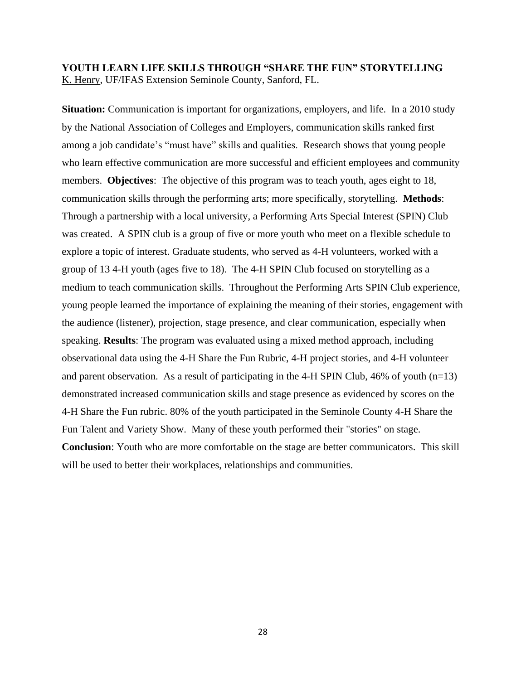# **YOUTH LEARN LIFE SKILLS THROUGH "SHARE THE FUN" STORYTELLING** K. Henry, UF/IFAS Extension Seminole County, Sanford, FL.

**Situation:** Communication is important for organizations, employers, and life. In a 2010 study by the National Association of Colleges and Employers, communication skills ranked first among a job candidate's "must have" skills and qualities. Research shows that young people who learn effective communication are more successful and efficient employees and community members. **Objectives**: The objective of this program was to teach youth, ages eight to 18, communication skills through the performing arts; more specifically, storytelling. **Methods**: Through a partnership with a local university, a Performing Arts Special Interest (SPIN) Club was created. A SPIN club is a group of five or more youth who meet on a flexible schedule to explore a topic of interest. Graduate students, who served as 4-H volunteers, worked with a group of 13 4-H youth (ages five to 18). The 4-H SPIN Club focused on storytelling as a medium to teach communication skills. Throughout the Performing Arts SPIN Club experience, young people learned the importance of explaining the meaning of their stories, engagement with the audience (listener), projection, stage presence, and clear communication, especially when speaking. **Results**: The program was evaluated using a mixed method approach, including observational data using the 4-H Share the Fun Rubric, 4-H project stories, and 4-H volunteer and parent observation. As a result of participating in the 4-H SPIN Club,  $46\%$  of youth (n=13) demonstrated increased communication skills and stage presence as evidenced by scores on the 4-H Share the Fun rubric. 80% of the youth participated in the Seminole County 4-H Share the Fun Talent and Variety Show. Many of these youth performed their "stories" on stage. **Conclusion**: Youth who are more comfortable on the stage are better communicators. This skill will be used to better their workplaces, relationships and communities.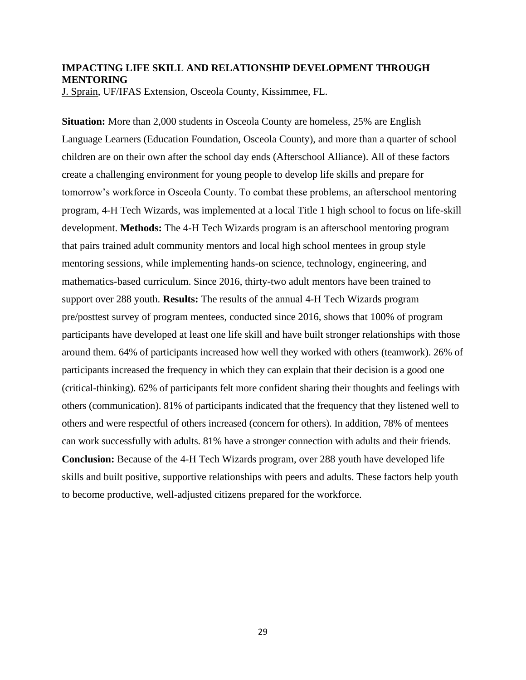# **IMPACTING LIFE SKILL AND RELATIONSHIP DEVELOPMENT THROUGH MENTORING**

J. Sprain, UF/IFAS Extension, Osceola County, Kissimmee, FL.

**Situation:** More than 2,000 students in Osceola County are homeless, 25% are English Language Learners (Education Foundation, Osceola County), and more than a quarter of school children are on their own after the school day ends (Afterschool Alliance). All of these factors create a challenging environment for young people to develop life skills and prepare for tomorrow's workforce in Osceola County. To combat these problems, an afterschool mentoring program, 4-H Tech Wizards, was implemented at a local Title 1 high school to focus on life-skill development. **Methods:** The 4-H Tech Wizards program is an afterschool mentoring program that pairs trained adult community mentors and local high school mentees in group style mentoring sessions, while implementing hands-on science, technology, engineering, and mathematics-based curriculum. Since 2016, thirty-two adult mentors have been trained to support over 288 youth. **Results:** The results of the annual 4-H Tech Wizards program pre/posttest survey of program mentees, conducted since 2016, shows that 100% of program participants have developed at least one life skill and have built stronger relationships with those around them. 64% of participants increased how well they worked with others (teamwork). 26% of participants increased the frequency in which they can explain that their decision is a good one (critical-thinking). 62% of participants felt more confident sharing their thoughts and feelings with others (communication). 81% of participants indicated that the frequency that they listened well to others and were respectful of others increased (concern for others). In addition, 78% of mentees can work successfully with adults. 81% have a stronger connection with adults and their friends. **Conclusion:** Because of the 4-H Tech Wizards program, over 288 youth have developed life skills and built positive, supportive relationships with peers and adults. These factors help youth to become productive, well-adjusted citizens prepared for the workforce.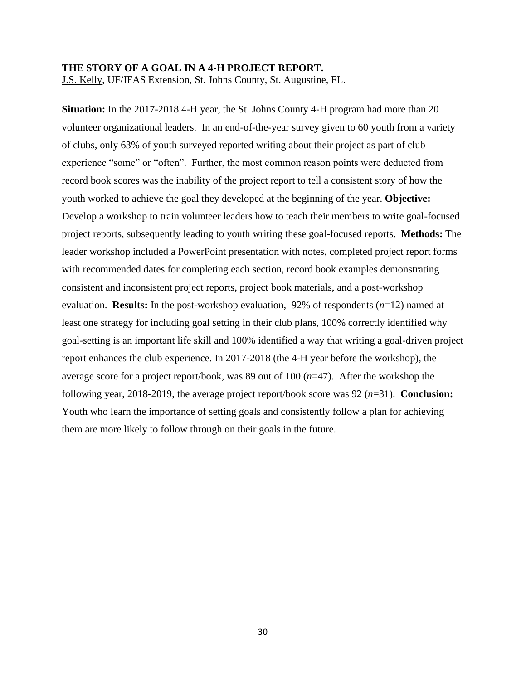## **THE STORY OF A GOAL IN A 4-H PROJECT REPORT.**

J.S. Kelly, UF/IFAS Extension, St. Johns County, St. Augustine, FL.

**Situation:** In the 2017-2018 4-H year, the St. Johns County 4-H program had more than 20 volunteer organizational leaders. In an end-of-the-year survey given to 60 youth from a variety of clubs, only 63% of youth surveyed reported writing about their project as part of club experience "some" or "often". Further, the most common reason points were deducted from record book scores was the inability of the project report to tell a consistent story of how the youth worked to achieve the goal they developed at the beginning of the year. **Objective:** Develop a workshop to train volunteer leaders how to teach their members to write goal-focused project reports, subsequently leading to youth writing these goal-focused reports. **Methods:** The leader workshop included a PowerPoint presentation with notes, completed project report forms with recommended dates for completing each section, record book examples demonstrating consistent and inconsistent project reports, project book materials, and a post-workshop evaluation. **Results:** In the post-workshop evaluation, 92% of respondents (*n*=12) named at least one strategy for including goal setting in their club plans, 100% correctly identified why goal-setting is an important life skill and 100% identified a way that writing a goal-driven project report enhances the club experience. In 2017-2018 (the 4-H year before the workshop), the average score for a project report/book, was 89 out of 100 (*n*=47). After the workshop the following year, 2018-2019, the average project report/book score was 92 (*n*=31). **Conclusion:** Youth who learn the importance of setting goals and consistently follow a plan for achieving them are more likely to follow through on their goals in the future.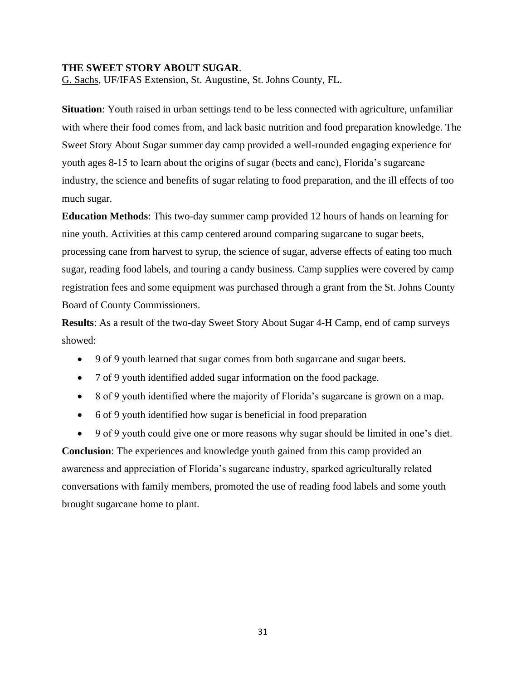#### **THE SWEET STORY ABOUT SUGAR**.

G. Sachs, UF/IFAS Extension, St. Augustine, St. Johns County, FL.

**Situation**: Youth raised in urban settings tend to be less connected with agriculture, unfamiliar with where their food comes from, and lack basic nutrition and food preparation knowledge. The Sweet Story About Sugar summer day camp provided a well-rounded engaging experience for youth ages 8-15 to learn about the origins of sugar (beets and cane), Florida's sugarcane industry, the science and benefits of sugar relating to food preparation, and the ill effects of too much sugar.

**Education Methods**: This two-day summer camp provided 12 hours of hands on learning for nine youth. Activities at this camp centered around comparing sugarcane to sugar beets, processing cane from harvest to syrup, the science of sugar, adverse effects of eating too much sugar, reading food labels, and touring a candy business. Camp supplies were covered by camp registration fees and some equipment was purchased through a grant from the St. Johns County Board of County Commissioners.

**Results**: As a result of the two-day Sweet Story About Sugar 4-H Camp, end of camp surveys showed:

- 9 of 9 youth learned that sugar comes from both sugarcane and sugar beets.
- 7 of 9 youth identified added sugar information on the food package.
- 8 of 9 youth identified where the majority of Florida's sugarcane is grown on a map.
- 6 of 9 youth identified how sugar is beneficial in food preparation
- 9 of 9 youth could give one or more reasons why sugar should be limited in one's diet.

**Conclusion**: The experiences and knowledge youth gained from this camp provided an awareness and appreciation of Florida's sugarcane industry, sparked agriculturally related conversations with family members, promoted the use of reading food labels and some youth brought sugarcane home to plant.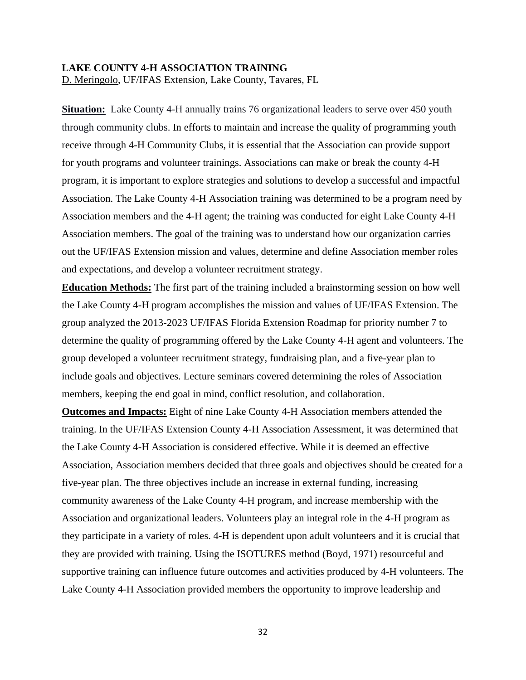#### **LAKE COUNTY 4-H ASSOCIATION TRAINING**

D. Meringolo, UF/IFAS Extension, Lake County, Tavares, FL

**Situation:** Lake County 4-H annually trains 76 organizational leaders to serve over 450 youth through community clubs. In efforts to maintain and increase the quality of programming youth receive through 4-H Community Clubs, it is essential that the Association can provide support for youth programs and volunteer trainings. Associations can make or break the county 4-H program, it is important to explore strategies and solutions to develop a successful and impactful Association. The Lake County 4-H Association training was determined to be a program need by Association members and the 4-H agent; the training was conducted for eight Lake County 4-H Association members. The goal of the training was to understand how our organization carries out the UF/IFAS Extension mission and values, determine and define Association member roles and expectations, and develop a volunteer recruitment strategy.

**Education Methods:** The first part of the training included a brainstorming session on how well the Lake County 4-H program accomplishes the mission and values of UF/IFAS Extension. The group analyzed the 2013-2023 UF/IFAS Florida Extension Roadmap for priority number 7 to determine the quality of programming offered by the Lake County 4-H agent and volunteers. The group developed a volunteer recruitment strategy, fundraising plan, and a five-year plan to include goals and objectives. Lecture seminars covered determining the roles of Association members, keeping the end goal in mind, conflict resolution, and collaboration.

**Outcomes and Impacts:** Eight of nine Lake County 4-H Association members attended the training. In the UF/IFAS Extension County 4-H Association Assessment, it was determined that the Lake County 4-H Association is considered effective. While it is deemed an effective Association, Association members decided that three goals and objectives should be created for a five-year plan. The three objectives include an increase in external funding, increasing community awareness of the Lake County 4-H program, and increase membership with the Association and organizational leaders. Volunteers play an integral role in the 4-H program as they participate in a variety of roles. 4-H is dependent upon adult volunteers and it is crucial that they are provided with training. Using the ISOTURES method (Boyd, 1971) resourceful and supportive training can influence future outcomes and activities produced by 4-H volunteers. The Lake County 4-H Association provided members the opportunity to improve leadership and